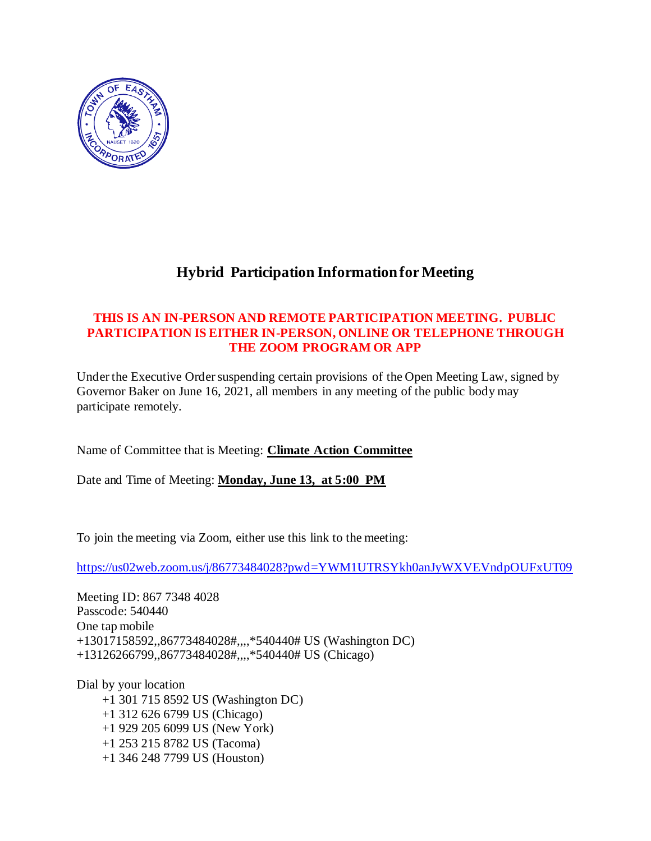

## **Hybrid Participation Information for Meeting**

## **THIS IS AN IN-PERSON AND REMOTE PARTICIPATION MEETING. PUBLIC PARTICIPATION IS EITHER IN-PERSON, ONLINE OR TELEPHONE THROUGH THE ZOOM PROGRAM OR APP**

Under the Executive Order suspending certain provisions of the Open Meeting Law, signed by Governor Baker on June 16, 2021, all members in any meeting of the public body may participate remotely.

Name of Committee that is Meeting: **Climate Action Committee** 

Date and Time of Meeting: **Monday, June 13, at 5:00 PM**

To join the meeting via Zoom, either use this link to the meeting:

<https://us02web.zoom.us/j/86773484028?pwd=YWM1UTRSYkh0anJyWXVEVndpOUFxUT09>

Meeting ID: 867 7348 4028 Passcode: 540440 One tap mobile +13017158592,,86773484028#,,,,\*540440# US (Washington DC) +13126266799,,86773484028#,,,,\*540440# US (Chicago)

Dial by your location +1 301 715 8592 US (Washington DC) +1 312 626 6799 US (Chicago) +1 929 205 6099 US (New York) +1 253 215 8782 US (Tacoma) +1 346 248 7799 US (Houston)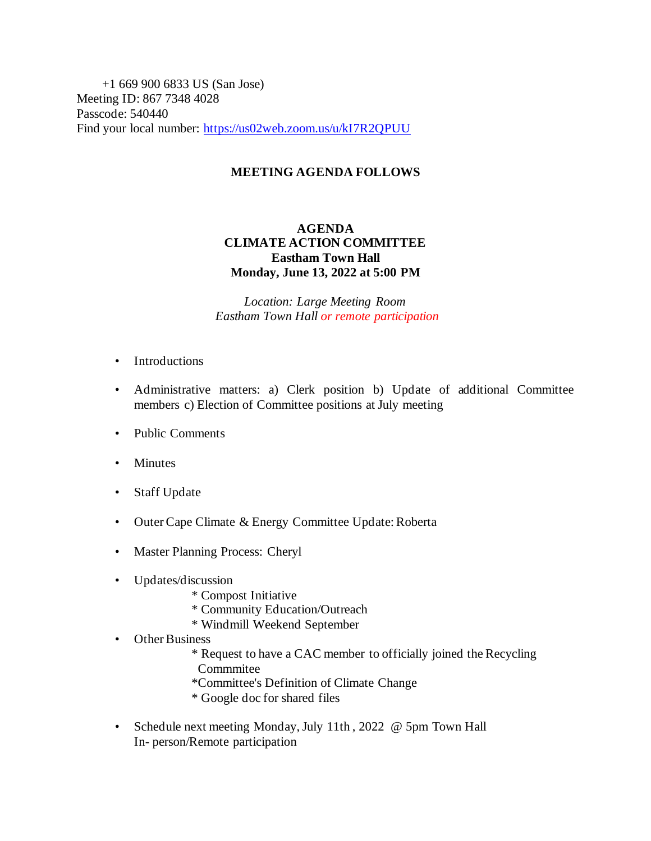+1 669 900 6833 US (San Jose) Meeting ID: 867 7348 4028 Passcode: 540440 Find your local number:<https://us02web.zoom.us/u/kI7R2QPUU>

## **MEETING AGENDA FOLLOWS**

## **AGENDA CLIMATE ACTION COMMITTEE Eastham Town Hall Monday, June 13, 2022 at 5:00 PM**

*Location: Large Meeting Room Eastham Town Hall or remote participation*

- Introductions
- Administrative matters: a) Clerk position b) Update of additional Committee members c) Election of Committee positions at July meeting
- Public Comments
- Minutes
- Staff Update
- Outer Cape Climate & Energy Committee Update: Roberta
- Master Planning Process: Cheryl
- Updates/discussion
	- \* Compost Initiative
	- \* Community Education/Outreach
	- \* Windmill Weekend September
- Other Business
	- \* Request to have a CAC member to officially joined the Recycling Commmitee
	- \*Committee's Definition of Climate Change
	- \* Google doc for shared files
- Schedule next meeting Monday, July 11th, 2022 @ 5pm Town Hall In- person/Remote participation